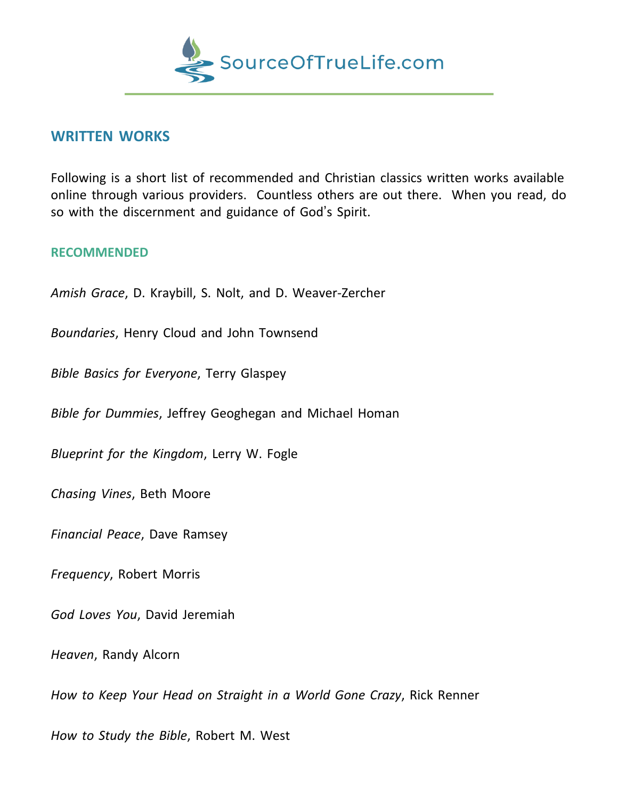

## **WRITTEN WORKS**

Following is a short list of recommended and Christian classics written works available online through various providers. Countless others are out there. When you read, do so with the discernment and guidance of God's Spirit.

## **RECOMMENDED**

*Amish Grace*, D. Kraybill, S. Nolt, and D. Weaver-Zercher

*Boundaries*, Henry Cloud and John Townsend

*Bible Basics for Everyone*, Terry Glaspey

*Bible for Dummies*, Jeffrey Geoghegan and Michael Homan

*Blueprint for the Kingdom*, Lerry W. Fogle

*Chasing Vines*, Beth Moore

*Financial Peace*, Dave Ramsey

*Frequency*, Robert Morris

*God Loves You*, David Jeremiah

*Heaven*, Randy Alcorn

*How to Keep Your Head on Straight in a World Gone Crazy*, Rick Renner

*How to Study the Bible*, Robert M. West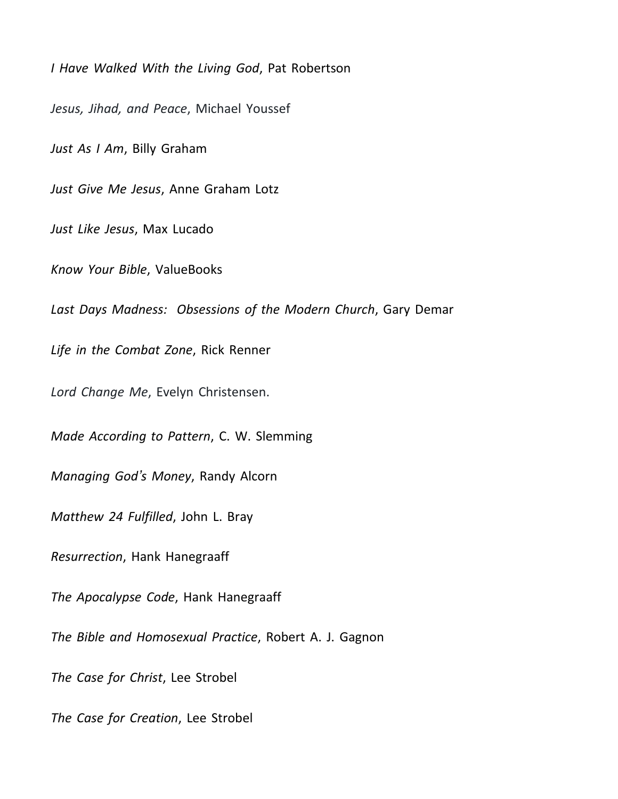*I Have Walked With the Living God*, Pat Robertson *Jesus, Jihad, and Peace*, Michael Youssef *Just As I Am*, Billy Graham *Just Give Me Jesus*, Anne Graham Lotz *Just Like Jesus*, Max Lucado *Know Your Bible*, ValueBooks *Last Days Madness: Obsessions of the Modern Church*, Gary Demar *Life in the Combat Zone*, Rick Renner *Lord Change Me*, Evelyn Christensen. *Made According to Pattern*, C. W. Slemming *Managing God's Money*, Randy Alcorn *Matthew 24 Fulfilled*, John L. Bray *Resurrection*, Hank Hanegraaff *The Apocalypse Code*, Hank Hanegraaff *The Bible and Homosexual Practice*, Robert A. J. Gagnon *The Case for Christ*, Lee Strobel *The Case for Creation*, Lee Strobel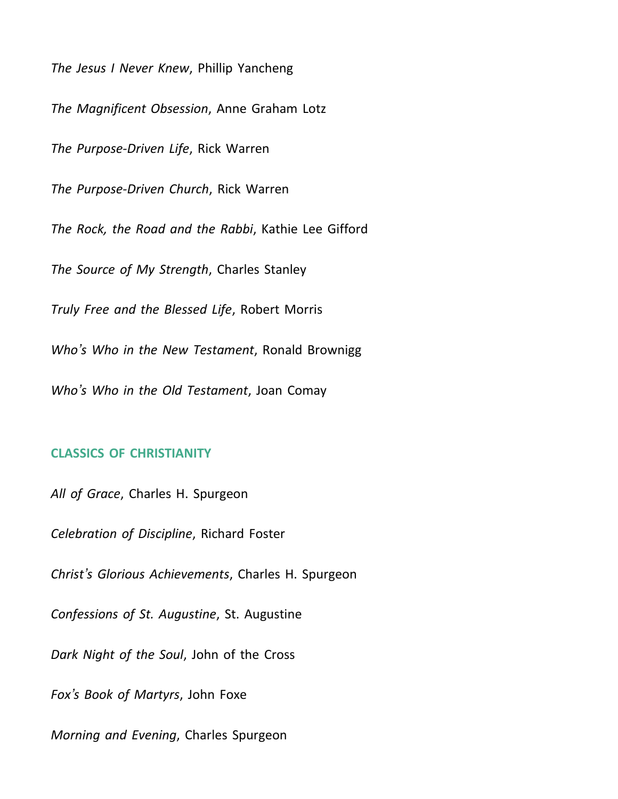*The Jesus I Never Knew*, Phillip Yancheng

*The Magnificent Obsession*, Anne Graham Lotz

*The Purpose-Driven Life*, Rick Warren

*The Purpose-Driven Church*, Rick Warren

*The Rock, the Road and the Rabbi*, Kathie Lee Gifford

*The Source of My Strength*, Charles Stanley

*Truly Free and the Blessed Life*, Robert Morris

*Who's Who in the New Testament*, Ronald Brownigg

*Who's Who in the Old Testament*, Joan Comay

## **CLASSICS OF CHRISTIANITY**

*All of Grace*, Charles H. Spurgeon

*Celebration of Discipline*, Richard Foster

*Christ's Glorious Achievements*, Charles H. Spurgeon

*Confessions of St. Augustine*, St. Augustine

*Dark Night of the Soul*, John of the Cross

*Fox's Book of Martyrs*, John Foxe

*Morning and Evening*, Charles Spurgeon